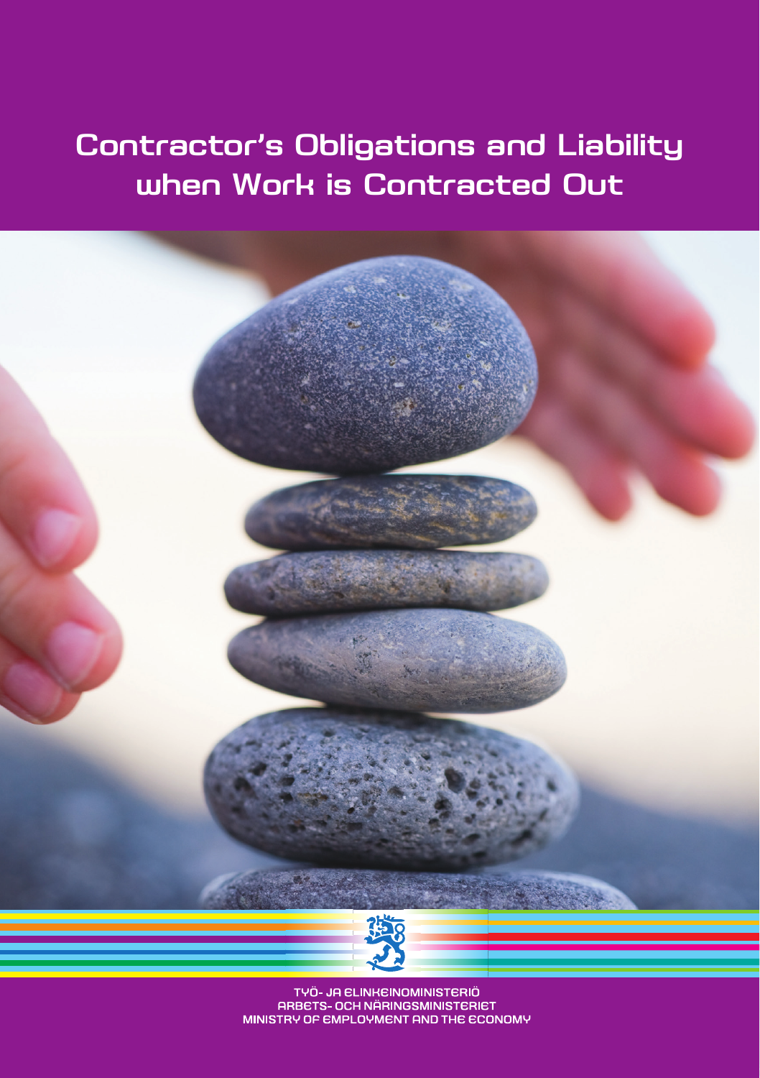### **Contractor's Obligations and Liability when Work is Contracted Out**



TYÖ- JA ELINKEINOMINISTERIÖ ARBETS- OCH NÄRINGSMINISTERIET MINISTRY OF EMPLOYMENT AND THE ECONOMY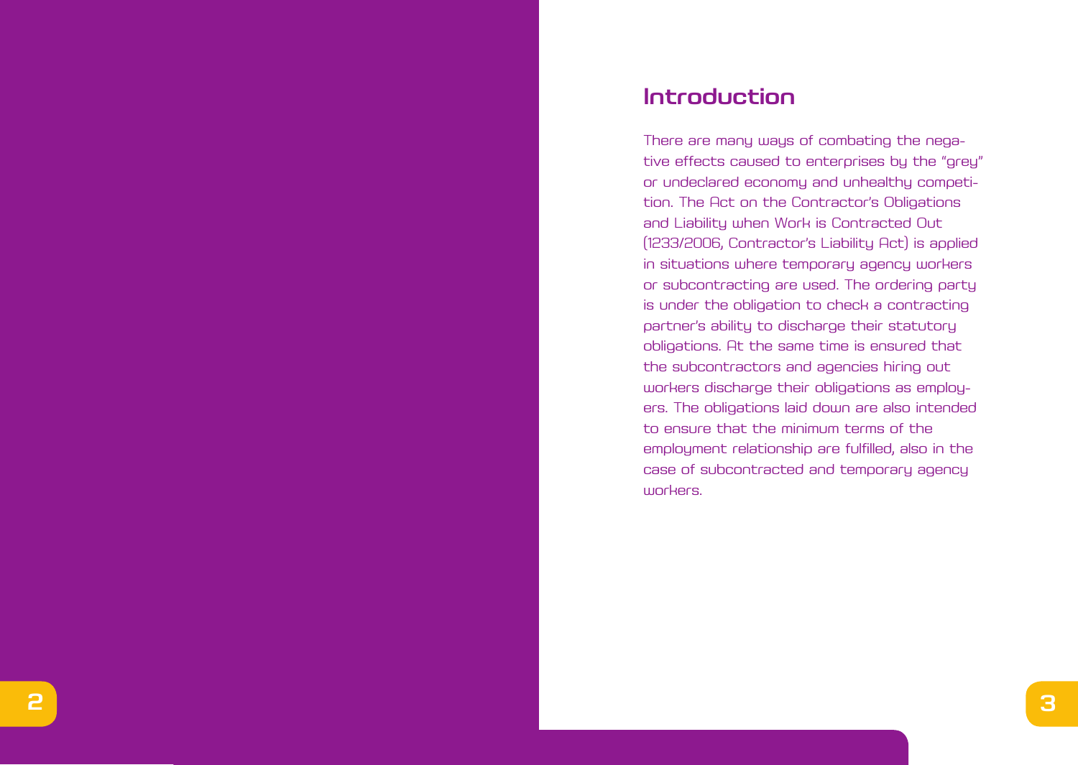### **Introduction**

There are many ways of combating the nega tive effects caused to enterprises by the "grey" or undeclared economy and unhealthy competi tion. The Act on the Contractor's Obligations and Liability when Work is Contracted Out (1233/2006, Contractor's Liability Act) is applied in situations where temporary agency workers or subcontracting are used. The ordering party is under the obligation to check a contracting partner's ability to discharge their statutory obligations. At the same time is ensured that the subcontractors and agencies hiring out workers discharge their obligations as employ ers. The obligations laid down are also intended to ensure that the minimum terms of the employment relationship are fulfilled, also in the case of subcontracted and temporary agency workers.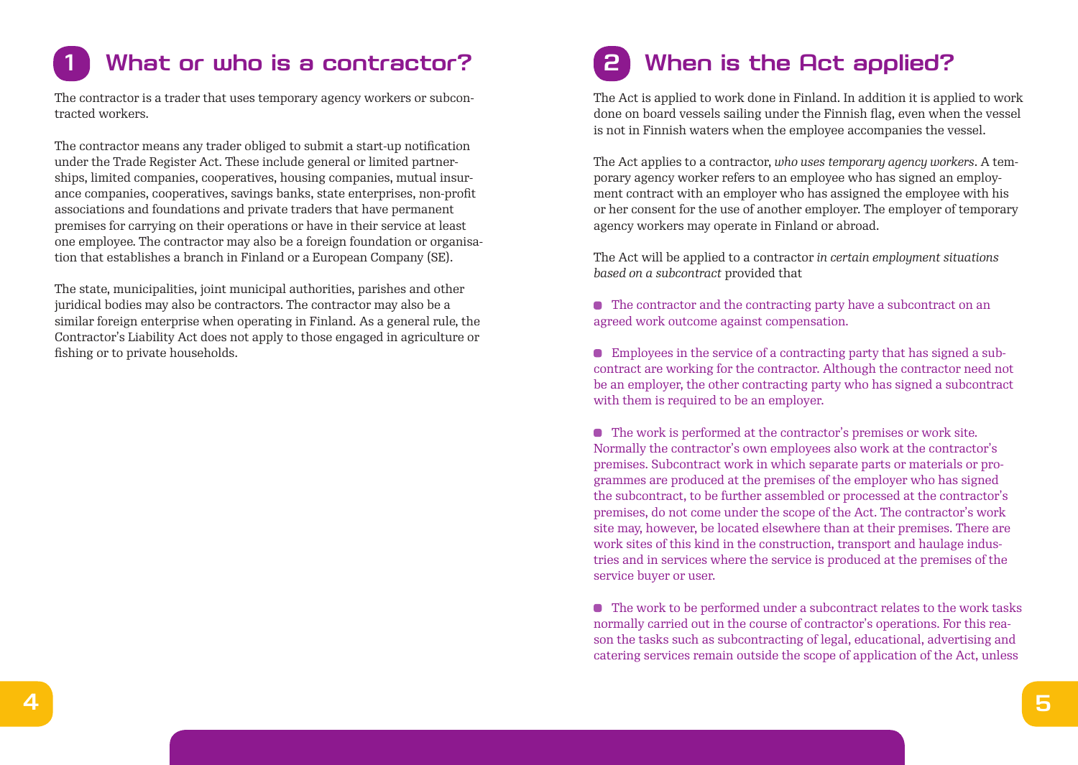# **1 What or who is a contractor?**

The contractor is a trader that uses temporary agency workers or subcontracted workers.

The contractor means any trader obliged to submit a start-up notification under the Trade Register Act. These include general or limited partnerships, limited companies, cooperatives, housing companies, mutual insurance companies, cooperatives, savings banks, state enterprises, non-profit associations and foundations and private traders that have permanent premises for carrying on their operations or have in their service at least one employee. The contractor may also be a foreign foundation or organisation that establishes a branch in Finland or a European Company (SE).

The state, municipalities, joint municipal authorities, parishes and other juridical bodies may also be contractors. The contractor may also be a similar foreign enterprise when operating in Finland. As a general rule, the Contractor's Liability Act does not apply to those engaged in agriculture or fishing or to private households.

# **2 When is the Act applied?**

The Act is applied to work done in Finland. In addition it is applied to work done on board vessels sailing under the Finnish flag, even when the vessel is not in Finnish waters when the employee accompanies the vessel.

The Act applies to a contractor, *who uses temporary agency workers*. A temporary agency worker refers to an employee who has signed an employment contract with an employer who has assigned the employee with his or her consent for the use of another employer. The employer of temporary agency workers may operate in Finland or abroad.

The Act will be applied to a contractor *in certain employment situations based on a subcontract* provided that

The contractor and the contracting party have a subcontract on an agreed work outcome against compensation.

Employees in the service of a contracting party that has signed a subcontract are working for the contractor. Although the contractor need not be an employer, the other contracting party who has signed a subcontract with them is required to be an employer.

The work is performed at the contractor's premises or work site. Normally the contractor's own employees also work at the contractor's premises. Subcontract work in which separate parts or materials or programmes are produced at the premises of the employer who has signed the subcontract, to be further assembled or processed at the contractor's premises, do not come under the scope of the Act. The contractor's work site may, however, be located elsewhere than at their premises. There are work sites of this kind in the construction, transport and haulage industries and in services where the service is produced at the premises of the service buyer or user.

The work to be performed under a subcontract relates to the work tasks normally carried out in the course of contractor's operations. For this reason the tasks such as subcontracting of legal, educational, advertising and catering services remain outside the scope of application of the Act, unless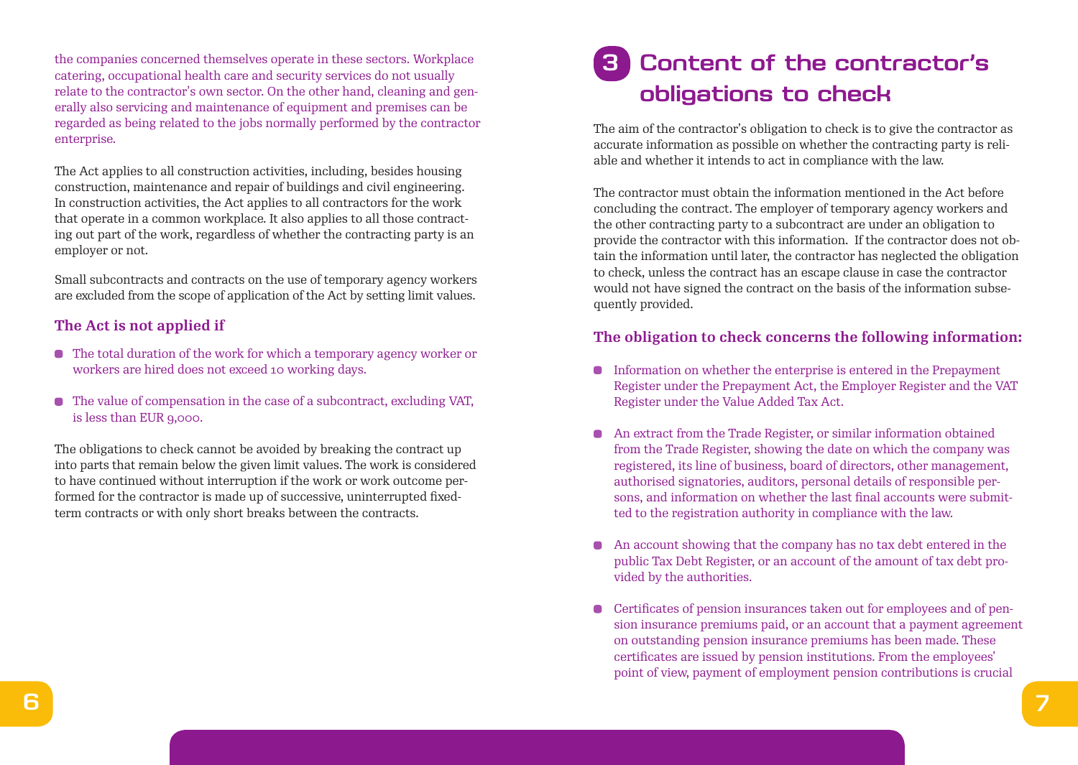the companies concerned themselves operate in these sectors. Workplace catering, occupational health care and security services do not usually relate to the contractor's own sector. On the other hand, cleaning and generally also servicing and maintenance of equipment and premises can be regarded as being related to the jobs normally performed by the contractor enterprise.

The Act applies to all construction activities, including, besides housing construction, maintenance and repair of buildings and civil engineering. In construction activities, the Act applies to all contractors for the work that operate in a common workplace. It also applies to all those contracting out part of the work, regardless of whether the contracting party is an employer or not.

Small subcontracts and contracts on the use of temporary agency workers are excluded from the scope of application of the Act by setting limit values.

#### **The Act is not applied if**

- The total duration of the work for which a temporary agency worker or workers are hired does not exceed 10 working days.
- The value of compensation in the case of a subcontract, excluding VAT, is less than EUR 9,000.

The obligations to check cannot be avoided by breaking the contract up into parts that remain below the given limit values. The work is considered to have continued without interruption if the work or work outcome performed for the contractor is made up of successive, uninterrupted fixedterm contracts or with only short breaks between the contracts.

### **3 Content of the contractor's obligations to check**

The aim of the contractor's obligation to check is to give the contractor as accurate information as possible on whether the contracting party is reliable and whether it intends to act in compliance with the law.

The contractor must obtain the information mentioned in the Act before concluding the contract. The employer of temporary agency workers and the other contracting party to a subcontract are under an obligation to provide the contractor with this information. If the contractor does not obtain the information until later, the contractor has neglected the obligation to check, unless the contract has an escape clause in case the contractor would not have signed the contract on the basis of the information subsequently provided.

#### **The obligation to check concerns the following information:**

- Information on whether the enterprise is entered in the Prepayment Register under the Prepayment Act, the Employer Register and the VAT Register under the Value Added Tax Act.
- An extract from the Trade Register, or similar information obtained from the Trade Register, showing the date on which the company was registered, its line of business, board of directors, other management, authorised signatories, auditors, personal details of responsible persons, and information on whether the last final accounts were submitted to the registration authority in compliance with the law.
- An account showing that the company has no tax debt entered in the public Tax Debt Register, or an account of the amount of tax debt provided by the authorities.
- Certificates of pension insurances taken out for employees and of pension insurance premiums paid, or an account that a payment agreement on outstanding pension insurance premiums has been made. These certificates are issued by pension institutions. From the employees' point of view, payment of employment pension contributions is crucial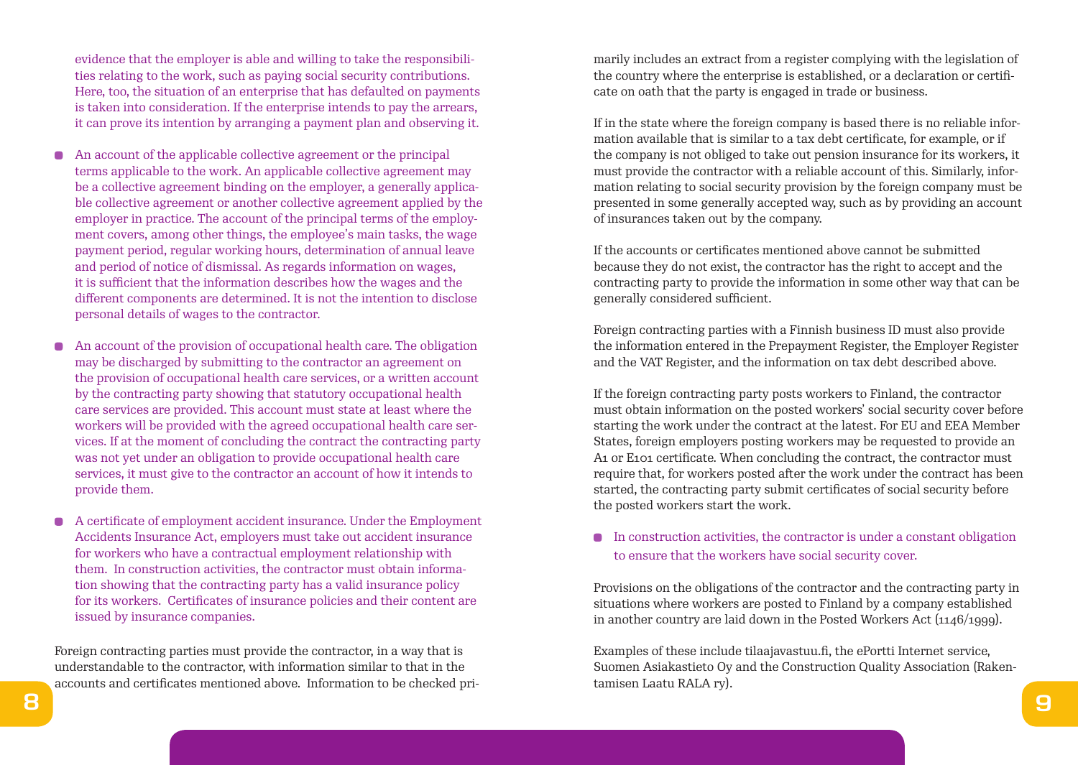evidence that the employer is able and willing to take the responsibilities relating to the work, such as paying social security contributions. Here, too, the situation of an enterprise that has defaulted on payments is taken into consideration. If the enterprise intends to pay the arrears, it can prove its intention by arranging a payment plan and observing it.

- An account of the applicable collective agreement or the principal terms applicable to the work. An applicable collective agreement may be a collective agreement binding on the employer, a generally applicable collective agreement or another collective agreement applied by the employer in practice. The account of the principal terms of the employment covers, among other things, the employee's main tasks, the wage payment period, regular working hours, determination of annual leave and period of notice of dismissal. As regards information on wages, it is sufficient that the information describes how the wages and the different components are determined. It is not the intention to disclose personal details of wages to the contractor.
- An account of the provision of occupational health care. The obligation may be discharged by submitting to the contractor an agreement on the provision of occupational health care services, or a written account by the contracting party showing that statutory occupational health care services are provided. This account must state at least where the workers will be provided with the agreed occupational health care services. If at the moment of concluding the contract the contracting party was not yet under an obligation to provide occupational health care services, it must give to the contractor an account of how it intends to provide them.
- A certificate of employment accident insurance. Under the Employment  $\bullet$ Accidents Insurance Act, employers must take out accident insurance for workers who have a contractual employment relationship with them. In construction activities, the contractor must obtain information showing that the contracting party has a valid insurance policy for its workers. Certificates of insurance policies and their content are issued by insurance companies.

Foreign contracting parties must provide the contractor, in a way that is understandable to the contractor, with information similar to that in the accounts and certificates mentioned above. Information to be checked primarily includes an extract from a register complying with the legislation of the country where the enterprise is established, or a declaration or certificate on oath that the party is engaged in trade or business.

If in the state where the foreign company is based there is no reliable information available that is similar to a tax debt certificate, for example, or if the company is not obliged to take out pension insurance for its workers, it must provide the contractor with a reliable account of this. Similarly, information relating to social security provision by the foreign company must be presented in some generally accepted way, such as by providing an account of insurances taken out by the company.

If the accounts or certificates mentioned above cannot be submitted because they do not exist, the contractor has the right to accept and the contracting party to provide the information in some other way that can be generally considered sufficient.

Foreign contracting parties with a Finnish business ID must also provide the information entered in the Prepayment Register, the Employer Register and the VAT Register, and the information on tax debt described above.

If the foreign contracting party posts workers to Finland, the contractor must obtain information on the posted workers' social security cover before starting the work under the contract at the latest. For EU and EEA Member States, foreign employers posting workers may be requested to provide an A<sub>1</sub> or E<sub>101</sub> certificate. When concluding the contract, the contractor must require that, for workers posted after the work under the contract has been started, the contracting party submit certificates of social security before the posted workers start the work.

 $\bullet$  In construction activities, the contractor is under a constant obligation to ensure that the workers have social security cover.

Provisions on the obligations of the contractor and the contracting party in situations where workers are posted to Finland by a company established in another country are laid down in the Posted Workers Act (1146/1999).

Examples of these include tilaajavastuu.fi, the ePortti Internet service, Suomen Asiakastieto Oy and the Construction Quality Association (Rakentamisen Laatu RALA ry).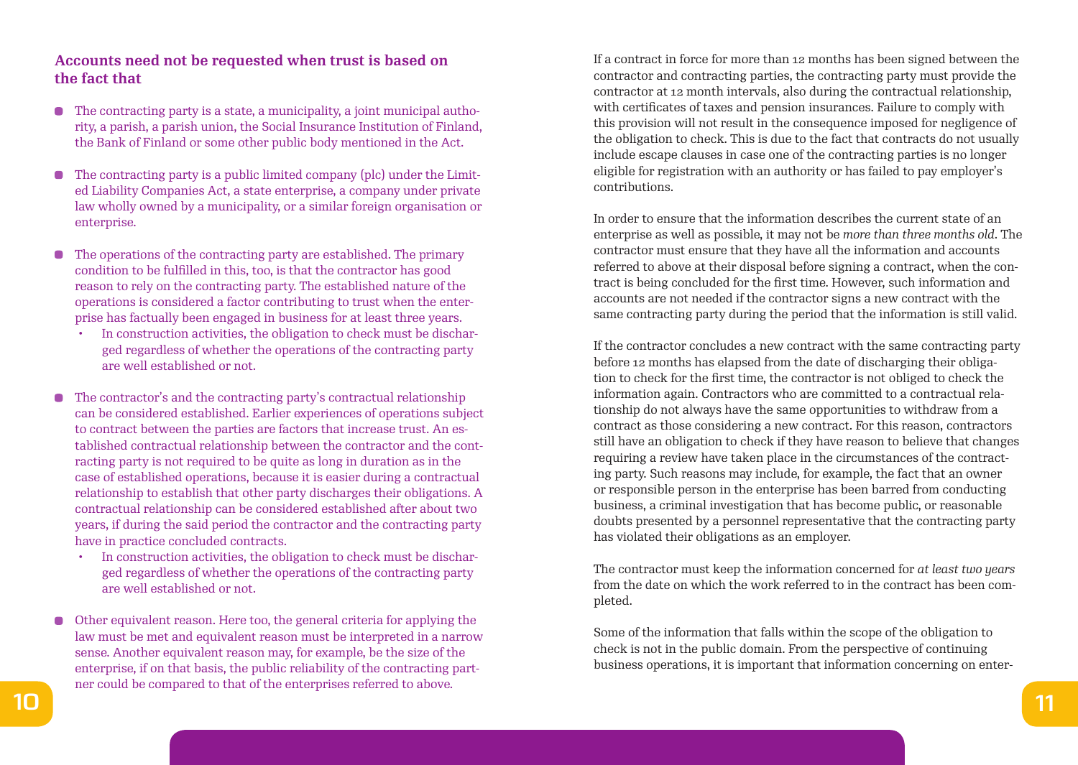#### **Accounts need not be requested when trust is based on the fact that**

- The contracting party is a state, a municipality, a joint municipal autho- $\bullet$ rity, a parish, a parish union, the Social Insurance Institution of Finland, the Bank of Finland or some other public body mentioned in the Act.
- The contracting party is a public limited company (plc) under the Limit- $\blacksquare$ ed Liability Companies Act, a state enterprise, a company under private law wholly owned by a municipality, or a similar foreign organisation or enterprise.
- The operations of the contracting party are established. The primary  $\blacksquare$ condition to be fulfilled in this, too, is that the contractor has good reason to rely on the contracting party. The established nature of the operations is considered a factor contributing to trust when the enterprise has factually been engaged in business for at least three years.
	- In construction activities, the obligation to check must be discharged regardless of whether the operations of the contracting party are well established or not.
- The contractor's and the contracting party's contractual relationship can be considered established. Earlier experiences of operations subject to contract between the parties are factors that increase trust. An established contractual relationship between the contractor and the contracting party is not required to be quite as long in duration as in the case of established operations, because it is easier during a contractual relationship to establish that other party discharges their obligations. A contractual relationship can be considered established after about two years, if during the said period the contractor and the contracting party have in practice concluded contracts.
	- In construction activities, the obligation to check must be discharged regardless of whether the operations of the contracting party are well established or not.
- Other equivalent reason. Here too, the general criteria for applying the law must be met and equivalent reason must be interpreted in a narrow sense. Another equivalent reason may, for example, be the size of the enterprise, if on that basis, the public reliability of the contracting partner could be compared to that of the enterprises referred to above.

If a contract in force for more than 12 months has been signed between the contractor and contracting parties, the contracting party must provide the contractor at 12 month intervals, also during the contractual relationship, with certificates of taxes and pension insurances. Failure to comply with this provision will not result in the consequence imposed for negligence of the obligation to check. This is due to the fact that contracts do not usually include escape clauses in case one of the contracting parties is no longer eligible for registration with an authority or has failed to pay employer's contributions.

In order to ensure that the information describes the current state of an enterprise as well as possible, it may not be *more than three months old*. The contractor must ensure that they have all the information and accounts referred to above at their disposal before signing a contract, when the contract is being concluded for the first time. However, such information and accounts are not needed if the contractor signs a new contract with the same contracting party during the period that the information is still valid.

If the contractor concludes a new contract with the same contracting party before 12 months has elapsed from the date of discharging their obligation to check for the first time, the contractor is not obliged to check the information again. Contractors who are committed to a contractual relationship do not always have the same opportunities to withdraw from a contract as those considering a new contract. For this reason, contractors still have an obligation to check if they have reason to believe that changes requiring a review have taken place in the circumstances of the contracting party. Such reasons may include, for example, the fact that an owner or responsible person in the enterprise has been barred from conducting business, a criminal investigation that has become public, or reasonable doubts presented by a personnel representative that the contracting party has violated their obligations as an employer.

The contractor must keep the information concerned for *at least two years*  from the date on which the work referred to in the contract has been completed.

Some of the information that falls within the scope of the obligation to check is not in the public domain. From the perspective of continuing business operations, it is important that information concerning on enter-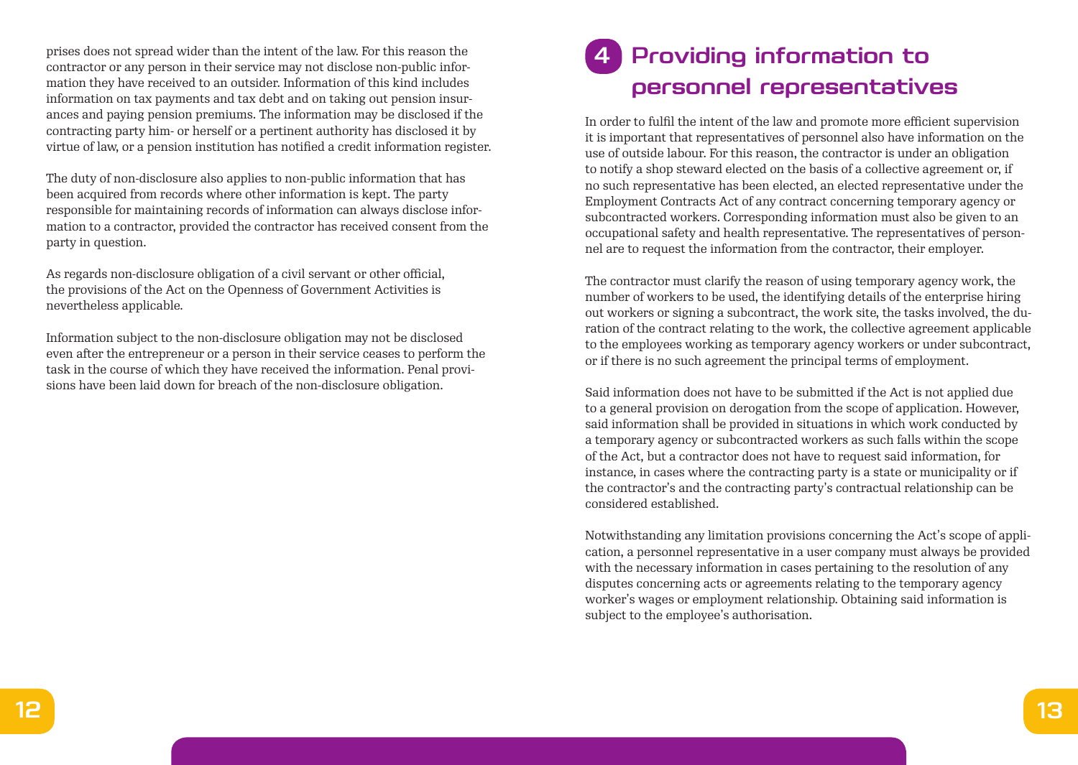prises does not spread wider than the intent of the law. For this reason the contractor or any person in their service may not disclose non-public information they have received to an outsider. Information of this kind includes information on tax payments and tax debt and on taking out pension insurances and paying pension premiums. The information may be disclosed if the contracting party him- or herself or a pertinent authority has disclosed it by virtue of law, or a pension institution has notified a credit information register.

The duty of non-disclosure also applies to non-public information that has been acquired from records where other information is kept. The party responsible for maintaining records of information can always disclose information to a contractor, provided the contractor has received consent from the party in question.

As regards non-disclosure obligation of a civil servant or other official, the provisions of the Act on the Openness of Government Activities is nevertheless applicable.

Information subject to the non-disclosure obligation may not be disclosed even after the entrepreneur or a person in their service ceases to perform the task in the course of which they have received the information. Penal provisions have been laid down for breach of the non-disclosure obligation.

## **4 Providing information to personnel representatives**

In order to fulfil the intent of the law and promote more efficient supervision it is important that representatives of personnel also have information on the use of outside labour. For this reason, the contractor is under an obligation to notify a shop steward elected on the basis of a collective agreement or, if no such representative has been elected, an elected representative under the Employment Contracts Act of any contract concerning temporary agency or subcontracted workers. Corresponding information must also be given to an occupational safety and health representative. The representatives of personnel are to request the information from the contractor, their employer.

The contractor must clarify the reason of using temporary agency work, the number of workers to be used, the identifying details of the enterprise hiring out workers or signing a subcontract, the work site, the tasks involved, the duration of the contract relating to the work, the collective agreement applicable to the employees working as temporary agency workers or under subcontract, or if there is no such agreement the principal terms of employment.

Said information does not have to be submitted if the Act is not applied due to a general provision on derogation from the scope of application. However, said information shall be provided in situations in which work conducted by a temporary agency or subcontracted workers as such falls within the scope of the Act, but a contractor does not have to request said information, for instance, in cases where the contracting party is a state or municipality or if the contractor's and the contracting party's contractual relationship can be considered established.

Notwithstanding any limitation provisions concerning the Act's scope of application, a personnel representative in a user company must always be provided with the necessary information in cases pertaining to the resolution of any disputes concerning acts or agreements relating to the temporary agency worker's wages or employment relationship. Obtaining said information is subject to the employee's authorisation.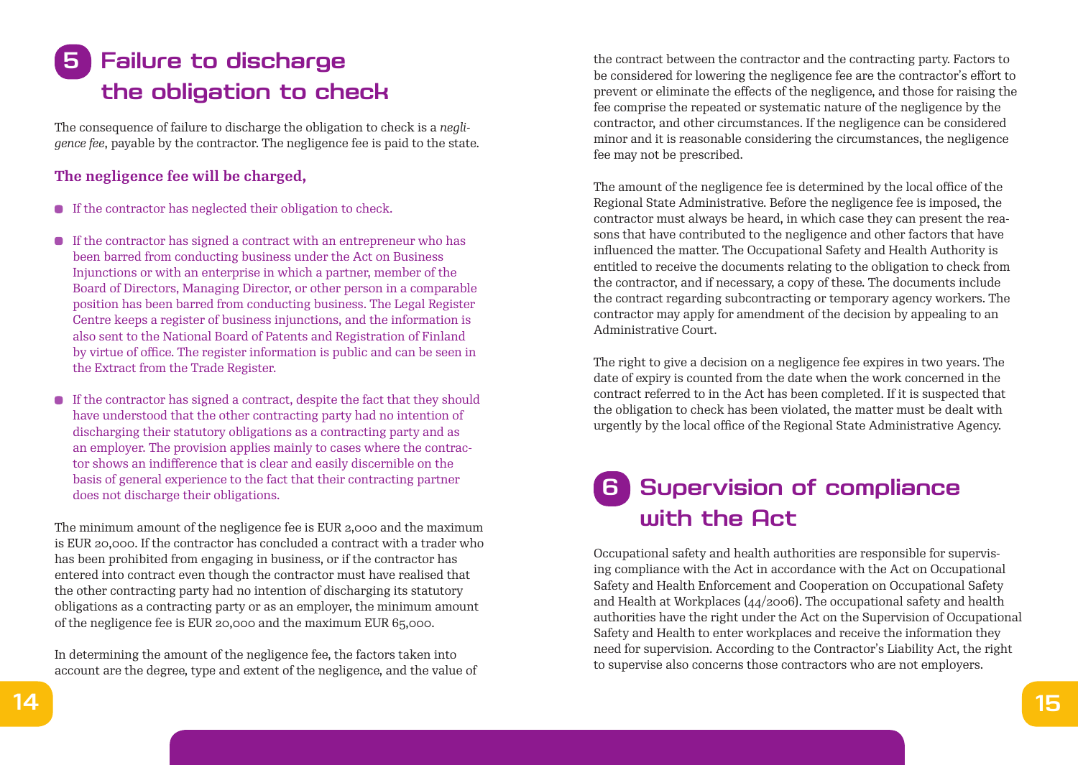## **5 Failure to discharge the obligation to check**

The consequence of failure to discharge the obligation to check is a *negligence fee*, payable by the contractor. The negligence fee is paid to the state.

#### **The negligence fee will be charged,**

- If the contractor has neglected their obligation to check.
- $\bullet$  If the contractor has signed a contract with an entrepreneur who has been barred from conducting business under the Act on Business Injunctions or with an enterprise in which a partner, member of the Board of Directors, Managing Director, or other person in a comparable position has been barred from conducting business. The Legal Register Centre keeps a register of business injunctions, and the information is also sent to the National Board of Patents and Registration of Finland by virtue of office. The register information is public and can be seen in the Extract from the Trade Register.
- If the contractor has signed a contract, despite the fact that they should have understood that the other contracting party had no intention of discharging their statutory obligations as a contracting party and as an employer. The provision applies mainly to cases where the contractor shows an indifference that is clear and easily discernible on the basis of general experience to the fact that their contracting partner does not discharge their obligations.

The minimum amount of the negligence fee is EUR 2,000 and the maximum is EUR 20,000. If the contractor has concluded a contract with a trader who has been prohibited from engaging in business, or if the contractor has entered into contract even though the contractor must have realised that the other contracting party had no intention of discharging its statutory obligations as a contracting party or as an employer, the minimum amount of the negligence fee is EUR 20,000 and the maximum EUR 65,000.

In determining the amount of the negligence fee, the factors taken into account are the degree, type and extent of the negligence, and the value of the contract between the contractor and the contracting party. Factors to be considered for lowering the negligence fee are the contractor's effort to prevent or eliminate the effects of the negligence, and those for raising the fee comprise the repeated or systematic nature of the negligence by the contractor, and other circumstances. If the negligence can be considered minor and it is reasonable considering the circumstances, the negligence fee may not be prescribed.

The amount of the negligence fee is determined by the local office of the Regional State Administrative. Before the negligence fee is imposed, the contractor must always be heard, in which case they can present the reasons that have contributed to the negligence and other factors that have influenced the matter. The Occupational Safety and Health Authority is entitled to receive the documents relating to the obligation to check from the contractor, and if necessary, a copy of these. The documents include the contract regarding subcontracting or temporary agency workers. The contractor may apply for amendment of the decision by appealing to an Administrative Court.

The right to give a decision on a negligence fee expires in two years. The date of expiry is counted from the date when the work concerned in the contract referred to in the Act has been completed. If it is suspected that the obligation to check has been violated, the matter must be dealt with urgently by the local office of the Regional State Administrative Agency.

### **6 Supervision of compliance with the Act**

Occupational safety and health authorities are responsible for supervising compliance with the Act in accordance with the Act on Occupational Safety and Health Enforcement and Cooperation on Occupational Safety and Health at Workplaces (44/2006). The occupational safety and health authorities have the right under the Act on the Supervision of Occupational Safety and Health to enter workplaces and receive the information they need for supervision. According to the Contractor's Liability Act, the right to supervise also concerns those contractors who are not employers.